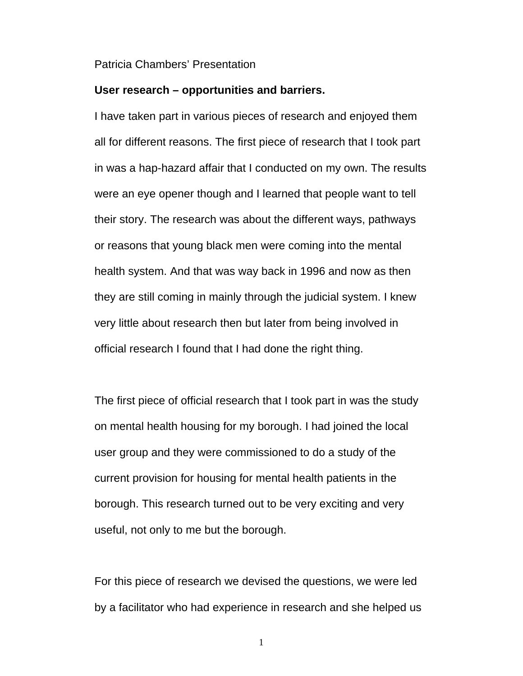## Patricia Chambers' Presentation

## **User research – opportunities and barriers.**

I have taken part in various pieces of research and enjoyed them all for different reasons. The first piece of research that I took part in was a hap-hazard affair that I conducted on my own. The results were an eye opener though and I learned that people want to tell their story. The research was about the different ways, pathways or reasons that young black men were coming into the mental health system. And that was way back in 1996 and now as then they are still coming in mainly through the judicial system. I knew very little about research then but later from being involved in official research I found that I had done the right thing.

The first piece of official research that I took part in was the study on mental health housing for my borough. I had joined the local user group and they were commissioned to do a study of the current provision for housing for mental health patients in the borough. This research turned out to be very exciting and very useful, not only to me but the borough.

For this piece of research we devised the questions, we were led by a facilitator who had experience in research and she helped us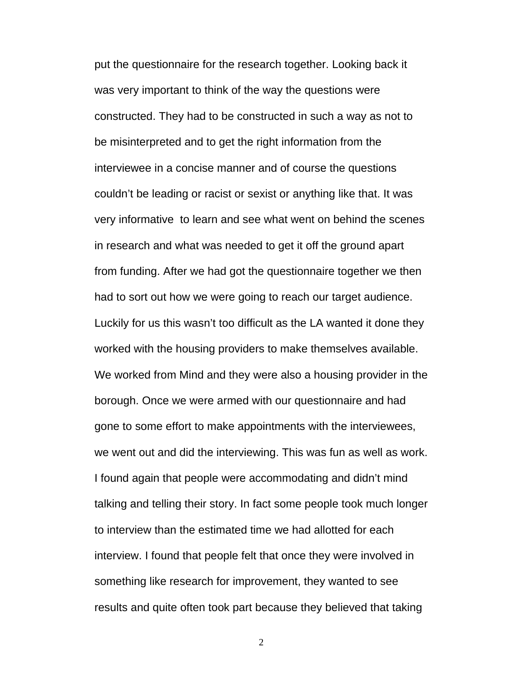put the questionnaire for the research together. Looking back it was very important to think of the way the questions were constructed. They had to be constructed in such a way as not to be misinterpreted and to get the right information from the interviewee in a concise manner and of course the questions couldn't be leading or racist or sexist or anything like that. It was very informative to learn and see what went on behind the scenes in research and what was needed to get it off the ground apart from funding. After we had got the questionnaire together we then had to sort out how we were going to reach our target audience. Luckily for us this wasn't too difficult as the LA wanted it done they worked with the housing providers to make themselves available. We worked from Mind and they were also a housing provider in the borough. Once we were armed with our questionnaire and had gone to some effort to make appointments with the interviewees, we went out and did the interviewing. This was fun as well as work. I found again that people were accommodating and didn't mind talking and telling their story. In fact some people took much longer to interview than the estimated time we had allotted for each interview. I found that people felt that once they were involved in something like research for improvement, they wanted to see results and quite often took part because they believed that taking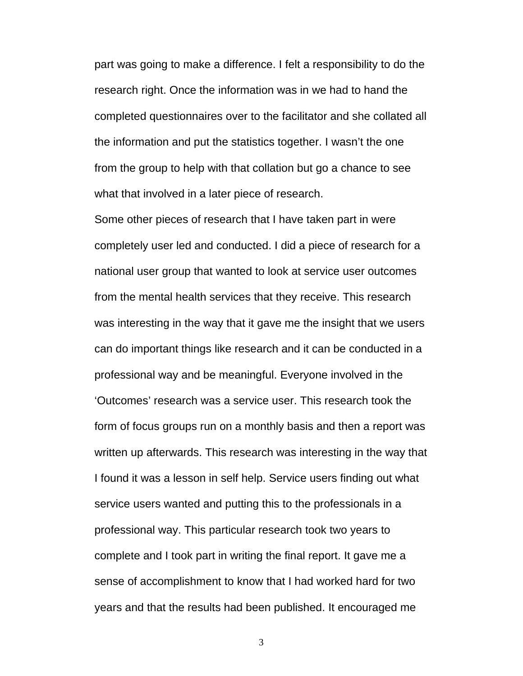part was going to make a difference. I felt a responsibility to do the research right. Once the information was in we had to hand the completed questionnaires over to the facilitator and she collated all the information and put the statistics together. I wasn't the one from the group to help with that collation but go a chance to see what that involved in a later piece of research.

Some other pieces of research that I have taken part in were completely user led and conducted. I did a piece of research for a national user group that wanted to look at service user outcomes from the mental health services that they receive. This research was interesting in the way that it gave me the insight that we users can do important things like research and it can be conducted in a professional way and be meaningful. Everyone involved in the 'Outcomes' research was a service user. This research took the form of focus groups run on a monthly basis and then a report was written up afterwards. This research was interesting in the way that I found it was a lesson in self help. Service users finding out what service users wanted and putting this to the professionals in a professional way. This particular research took two years to complete and I took part in writing the final report. It gave me a sense of accomplishment to know that I had worked hard for two years and that the results had been published. It encouraged me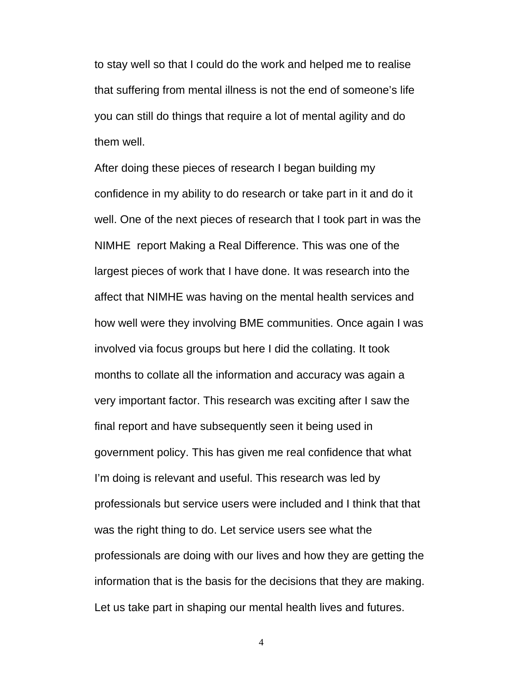to stay well so that I could do the work and helped me to realise that suffering from mental illness is not the end of someone's life you can still do things that require a lot of mental agility and do them well.

After doing these pieces of research I began building my confidence in my ability to do research or take part in it and do it well. One of the next pieces of research that I took part in was the NIMHE report Making a Real Difference. This was one of the largest pieces of work that I have done. It was research into the affect that NIMHE was having on the mental health services and how well were they involving BME communities. Once again I was involved via focus groups but here I did the collating. It took months to collate all the information and accuracy was again a very important factor. This research was exciting after I saw the final report and have subsequently seen it being used in government policy. This has given me real confidence that what I'm doing is relevant and useful. This research was led by professionals but service users were included and I think that that was the right thing to do. Let service users see what the professionals are doing with our lives and how they are getting the information that is the basis for the decisions that they are making. Let us take part in shaping our mental health lives and futures.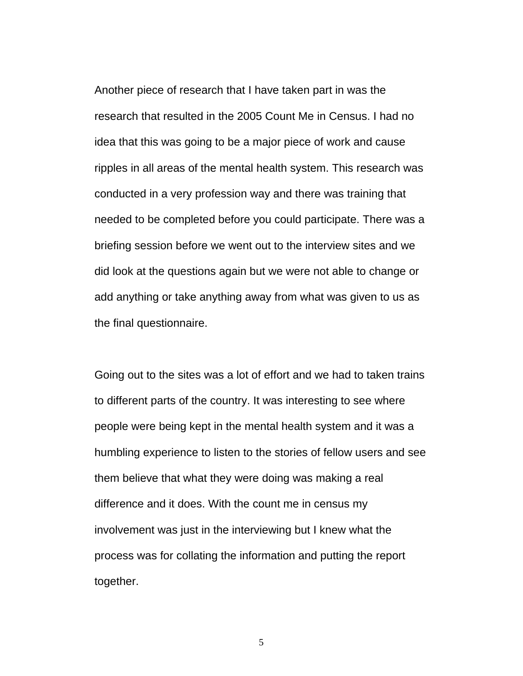Another piece of research that I have taken part in was the research that resulted in the 2005 Count Me in Census. I had no idea that this was going to be a major piece of work and cause ripples in all areas of the mental health system. This research was conducted in a very profession way and there was training that needed to be completed before you could participate. There was a briefing session before we went out to the interview sites and we did look at the questions again but we were not able to change or add anything or take anything away from what was given to us as the final questionnaire.

Going out to the sites was a lot of effort and we had to taken trains to different parts of the country. It was interesting to see where people were being kept in the mental health system and it was a humbling experience to listen to the stories of fellow users and see them believe that what they were doing was making a real difference and it does. With the count me in census my involvement was just in the interviewing but I knew what the process was for collating the information and putting the report together.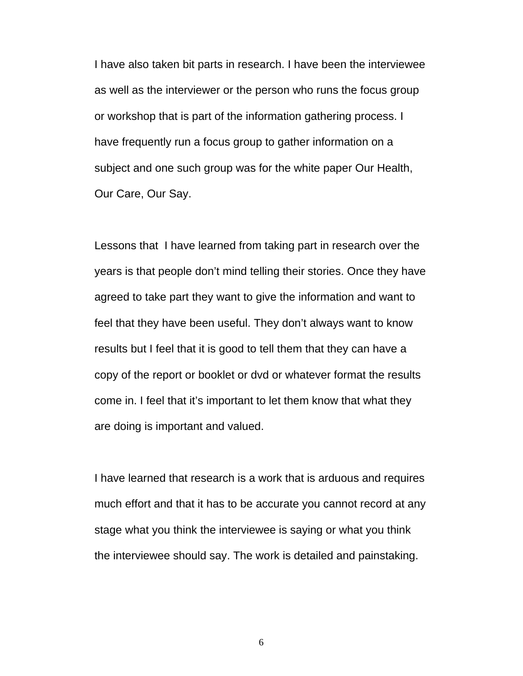I have also taken bit parts in research. I have been the interviewee as well as the interviewer or the person who runs the focus group or workshop that is part of the information gathering process. I have frequently run a focus group to gather information on a subject and one such group was for the white paper Our Health, Our Care, Our Say.

Lessons that I have learned from taking part in research over the years is that people don't mind telling their stories. Once they have agreed to take part they want to give the information and want to feel that they have been useful. They don't always want to know results but I feel that it is good to tell them that they can have a copy of the report or booklet or dvd or whatever format the results come in. I feel that it's important to let them know that what they are doing is important and valued.

I have learned that research is a work that is arduous and requires much effort and that it has to be accurate you cannot record at any stage what you think the interviewee is saying or what you think the interviewee should say. The work is detailed and painstaking.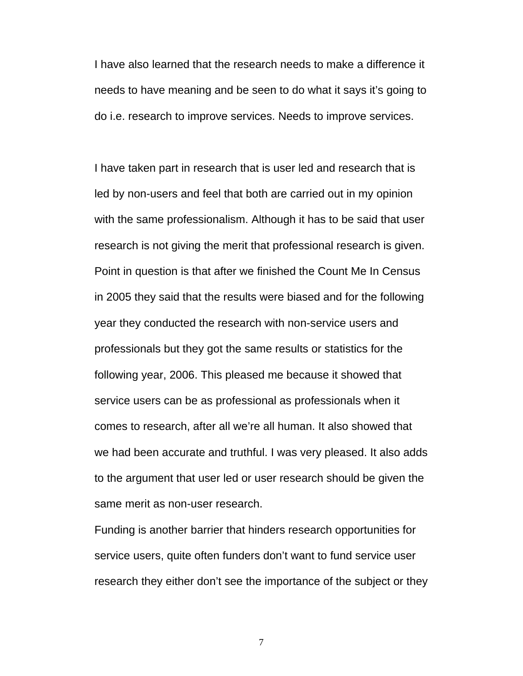I have also learned that the research needs to make a difference it needs to have meaning and be seen to do what it says it's going to do i.e. research to improve services. Needs to improve services.

I have taken part in research that is user led and research that is led by non-users and feel that both are carried out in my opinion with the same professionalism. Although it has to be said that user research is not giving the merit that professional research is given. Point in question is that after we finished the Count Me In Census in 2005 they said that the results were biased and for the following year they conducted the research with non-service users and professionals but they got the same results or statistics for the following year, 2006. This pleased me because it showed that service users can be as professional as professionals when it comes to research, after all we're all human. It also showed that we had been accurate and truthful. I was very pleased. It also adds to the argument that user led or user research should be given the same merit as non-user research.

Funding is another barrier that hinders research opportunities for service users, quite often funders don't want to fund service user research they either don't see the importance of the subject or they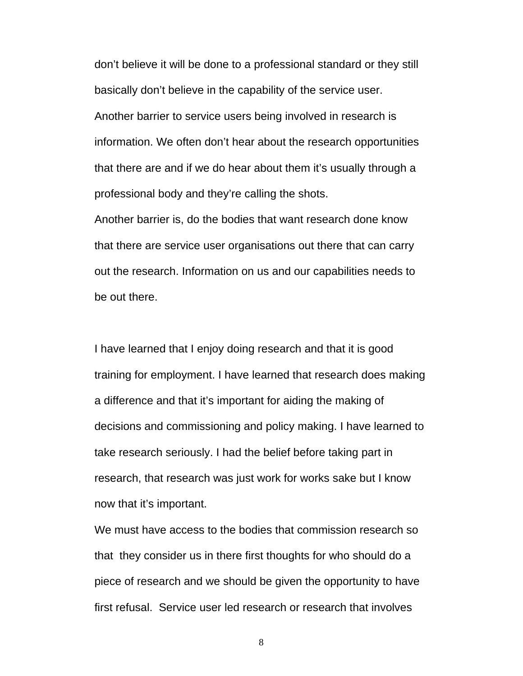don't believe it will be done to a professional standard or they still basically don't believe in the capability of the service user. Another barrier to service users being involved in research is information. We often don't hear about the research opportunities that there are and if we do hear about them it's usually through a professional body and they're calling the shots.

Another barrier is, do the bodies that want research done know that there are service user organisations out there that can carry out the research. Information on us and our capabilities needs to be out there.

I have learned that I enjoy doing research and that it is good training for employment. I have learned that research does making a difference and that it's important for aiding the making of decisions and commissioning and policy making. I have learned to take research seriously. I had the belief before taking part in research, that research was just work for works sake but I know now that it's important.

We must have access to the bodies that commission research so that they consider us in there first thoughts for who should do a piece of research and we should be given the opportunity to have first refusal. Service user led research or research that involves